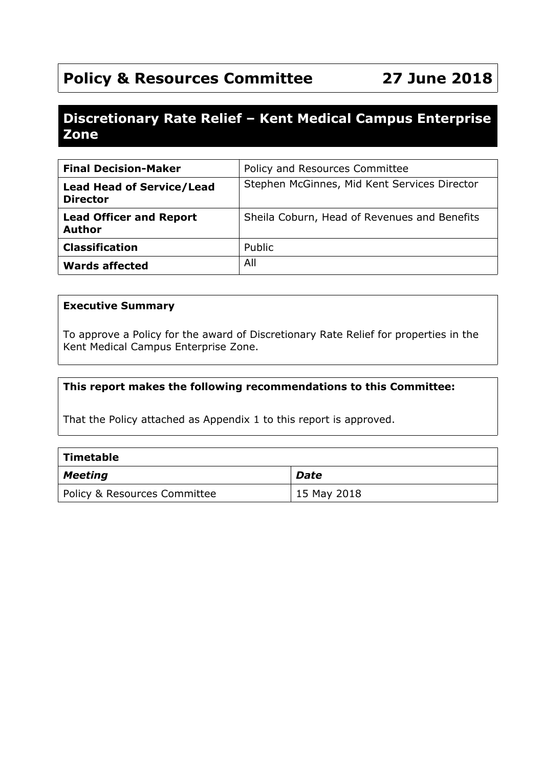# **Policy & Resources Committee 27 June 2018**

# **Discretionary Rate Relief – Kent Medical Campus Enterprise Zone**

| <b>Final Decision-Maker</b>                         | Policy and Resources Committee               |
|-----------------------------------------------------|----------------------------------------------|
| <b>Lead Head of Service/Lead</b><br><b>Director</b> | Stephen McGinnes, Mid Kent Services Director |
| <b>Lead Officer and Report</b><br><b>Author</b>     | Sheila Coburn, Head of Revenues and Benefits |
| <b>Classification</b>                               | Public                                       |
| <b>Wards affected</b>                               | All                                          |

#### **Executive Summary**

To approve a Policy for the award of Discretionary Rate Relief for properties in the Kent Medical Campus Enterprise Zone.

#### **This report makes the following recommendations to this Committee:**

That the Policy attached as Appendix 1 to this report is approved.

| $\mid$ Timetable             |             |
|------------------------------|-------------|
| $\vert$ Meeting              | <b>Date</b> |
| Policy & Resources Committee | 15 May 2018 |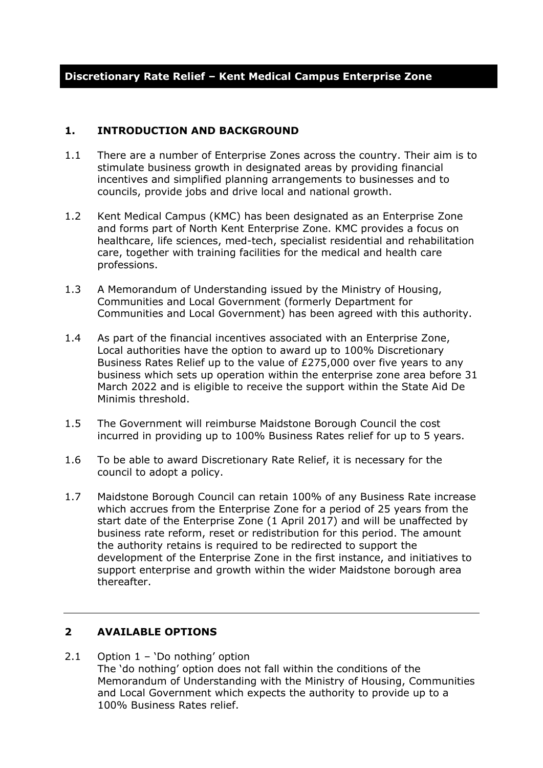#### **1. INTRODUCTION AND BACKGROUND**

- 1.1 There are a number of Enterprise Zones across the country. Their aim is to stimulate business growth in designated areas by providing financial incentives and simplified planning arrangements to businesses and to councils, provide jobs and drive local and national growth.
- 1.2 Kent Medical Campus (KMC) has been designated as an Enterprise Zone and forms part of North Kent Enterprise Zone. KMC provides a focus on healthcare, life sciences, med-tech, specialist residential and rehabilitation care, together with training facilities for the medical and health care professions.
- 1.3 A Memorandum of Understanding issued by the Ministry of Housing, Communities and Local Government (formerly Department for Communities and Local Government) has been agreed with this authority.
- 1.4 As part of the financial incentives associated with an Enterprise Zone, Local authorities have the option to award up to 100% Discretionary Business Rates Relief up to the value of £275,000 over five years to any business which sets up operation within the enterprise zone area before 31 March 2022 and is eligible to receive the support within the State Aid De Minimis threshold.
- 1.5 The Government will reimburse Maidstone Borough Council the cost incurred in providing up to 100% Business Rates relief for up to 5 years.
- 1.6 To be able to award Discretionary Rate Relief, it is necessary for the council to adopt a policy.
- 1.7 Maidstone Borough Council can retain 100% of any Business Rate increase which accrues from the Enterprise Zone for a period of 25 years from the start date of the Enterprise Zone (1 April 2017) and will be unaffected by business rate reform, reset or redistribution for this period. The amount the authority retains is required to be redirected to support the development of the Enterprise Zone in the first instance, and initiatives to support enterprise and growth within the wider Maidstone borough area thereafter.

#### **2 AVAILABLE OPTIONS**

2.1 Option 1 – 'Do nothing' option The 'do nothing' option does not fall within the conditions of the Memorandum of Understanding with the Ministry of Housing, Communities and Local Government which expects the authority to provide up to a 100% Business Rates relief.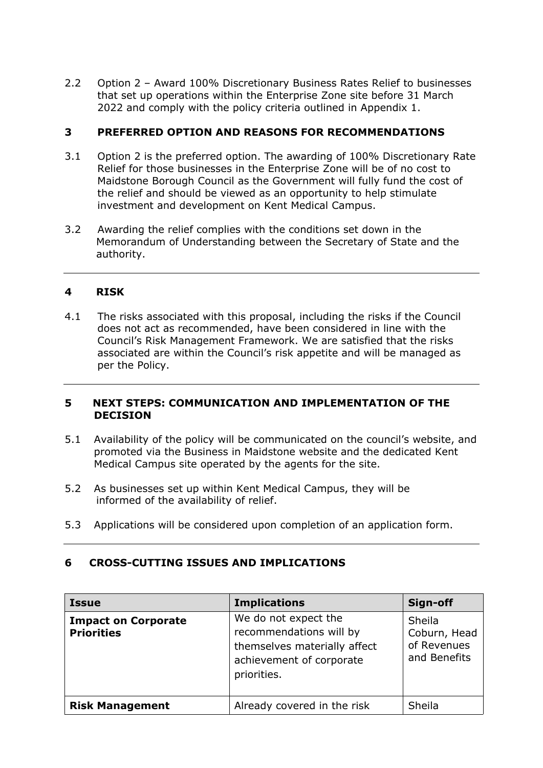2.2 Option 2 – Award 100% Discretionary Business Rates Relief to businesses that set up operations within the Enterprise Zone site before 31 March 2022 and comply with the policy criteria outlined in Appendix 1.

#### **3 PREFERRED OPTION AND REASONS FOR RECOMMENDATIONS**

- 3.1 Option 2 is the preferred option. The awarding of 100% Discretionary Rate Relief for those businesses in the Enterprise Zone will be of no cost to Maidstone Borough Council as the Government will fully fund the cost of the relief and should be viewed as an opportunity to help stimulate investment and development on Kent Medical Campus.
- 3.2 Awarding the relief complies with the conditions set down in the Memorandum of Understanding between the Secretary of State and the authority.

#### **4 RISK**

4.1 The risks associated with this proposal, including the risks if the Council does not act as recommended, have been considered in line with the Council's Risk Management Framework. We are satisfied that the risks associated are within the Council's risk appetite and will be managed as per the Policy.

#### **5 NEXT STEPS: COMMUNICATION AND IMPLEMENTATION OF THE DECISION**

- 5.1 Availability of the policy will be communicated on the council's website, and promoted via the Business in Maidstone website and the dedicated Kent Medical Campus site operated by the agents for the site.
- 5.2 As businesses set up within Kent Medical Campus, they will be informed of the availability of relief.
- 5.3 Applications will be considered upon completion of an application form.

| 6 | <b>CROSS-CUTTING ISSUES AND IMPLICATIONS</b> |
|---|----------------------------------------------|
|   |                                              |

| <b>Issue</b>                                    | <b>Implications</b>                                                                                                        | Sign-off                                              |
|-------------------------------------------------|----------------------------------------------------------------------------------------------------------------------------|-------------------------------------------------------|
| <b>Impact on Corporate</b><br><b>Priorities</b> | We do not expect the<br>recommendations will by<br>themselves materially affect<br>achievement of corporate<br>priorities. | Sheila<br>Coburn, Head<br>of Revenues<br>and Benefits |
| <b>Risk Management</b>                          | Already covered in the risk                                                                                                | Sheila                                                |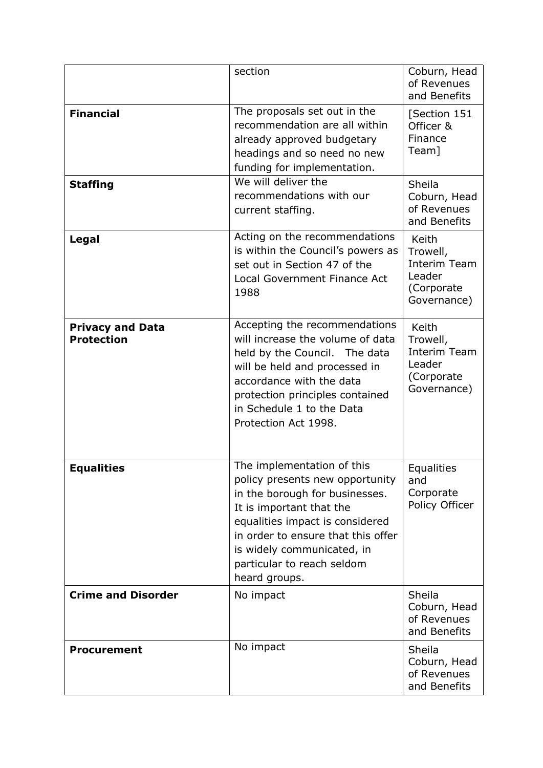|                                              | section                                                                                                                                                                                                                                                                           | Coburn, Head<br>of Revenues<br>and Benefits                                     |
|----------------------------------------------|-----------------------------------------------------------------------------------------------------------------------------------------------------------------------------------------------------------------------------------------------------------------------------------|---------------------------------------------------------------------------------|
| <b>Financial</b>                             | The proposals set out in the<br>recommendation are all within<br>already approved budgetary<br>headings and so need no new<br>funding for implementation.                                                                                                                         | [Section 151<br>Officer &<br>Finance<br>Team]                                   |
| <b>Staffing</b>                              | We will deliver the<br>recommendations with our<br>current staffing.                                                                                                                                                                                                              | Sheila<br>Coburn, Head<br>of Revenues<br>and Benefits                           |
| Legal                                        | Acting on the recommendations<br>is within the Council's powers as<br>set out in Section 47 of the<br>Local Government Finance Act<br>1988                                                                                                                                        | Keith<br>Trowell,<br>Interim Team<br>Leader<br>(Corporate<br>Governance)        |
| <b>Privacy and Data</b><br><b>Protection</b> | Accepting the recommendations<br>will increase the volume of data<br>held by the Council. The data<br>will be held and processed in<br>accordance with the data<br>protection principles contained<br>in Schedule 1 to the Data<br>Protection Act 1998.                           | Keith<br>Trowell,<br><b>Interim Team</b><br>Leader<br>(Corporate<br>Governance) |
| <b>Equalities</b>                            | The implementation of this<br>policy presents new opportunity<br>in the borough for businesses.<br>It is important that the<br>equalities impact is considered<br>in order to ensure that this offer<br>is widely communicated, in<br>particular to reach seldom<br>heard groups. | Equalities<br>and<br>Corporate<br>Policy Officer                                |
| <b>Crime and Disorder</b>                    | No impact                                                                                                                                                                                                                                                                         | Sheila<br>Coburn, Head<br>of Revenues<br>and Benefits                           |
| <b>Procurement</b>                           | No impact                                                                                                                                                                                                                                                                         | Sheila<br>Coburn, Head<br>of Revenues<br>and Benefits                           |